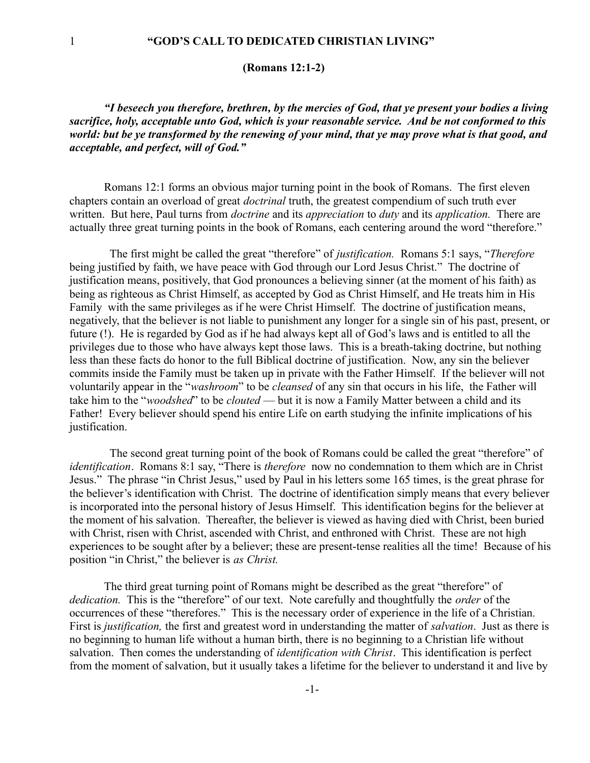**(Romans 12:1-2)**

*"I beseech you therefore, brethren, by the mercies of God, that ye present your bodies a living sacrifice, holy, acceptable unto God, which is your reasonable service. And be not conformed to this world: but be ye transformed by the renewing of your mind, that ye may prove what is that good, and acceptable, and perfect, will of God."*

Romans 12:1 forms an obvious major turning point in the book of Romans. The first eleven chapters contain an overload of great *doctrinal* truth, the greatest compendium of such truth ever written. But here, Paul turns from *doctrine* and its *appreciation* to *duty* and its *application.* There are actually three great turning points in the book of Romans, each centering around the word "therefore."

 The first might be called the great "therefore" of *justification.* Romans 5:1 says, "*Therefore* being justified by faith, we have peace with God through our Lord Jesus Christ." The doctrine of justification means, positively, that God pronounces a believing sinner (at the moment of his faith) as being as righteous as Christ Himself, as accepted by God as Christ Himself, and He treats him in His Family with the same privileges as if he were Christ Himself. The doctrine of justification means, negatively, that the believer is not liable to punishment any longer for a single sin of his past, present, or future (!). He is regarded by God as if he had always kept all of God's laws and is entitled to all the privileges due to those who have always kept those laws. This is a breath-taking doctrine, but nothing less than these facts do honor to the full Biblical doctrine of justification. Now, any sin the believer commits inside the Family must be taken up in private with the Father Himself. If the believer will not voluntarily appear in the "*washroom*" to be *cleansed* of any sin that occurs in his life, the Father will take him to the "*woodshed*" to be *clouted* — but it is now a Family Matter between a child and its Father! Every believer should spend his entire Life on earth studying the infinite implications of his justification.

 The second great turning point of the book of Romans could be called the great "therefore" of *identification*. Romans 8:1 say, "There is *therefore* now no condemnation to them which are in Christ Jesus." The phrase "in Christ Jesus," used by Paul in his letters some 165 times, is the great phrase for the believer's identification with Christ. The doctrine of identification simply means that every believer is incorporated into the personal history of Jesus Himself. This identification begins for the believer at the moment of his salvation. Thereafter, the believer is viewed as having died with Christ, been buried with Christ, risen with Christ, ascended with Christ, and enthroned with Christ. These are not high experiences to be sought after by a believer; these are present-tense realities all the time! Because of his position "in Christ," the believer is *as Christ.*

The third great turning point of Romans might be described as the great "therefore" of *dedication.* This is the "therefore" of our text. Note carefully and thoughtfully the *order* of the occurrences of these "therefores." This is the necessary order of experience in the life of a Christian. First is *justification,* the first and greatest word in understanding the matter of *salvation*. Just as there is no beginning to human life without a human birth, there is no beginning to a Christian life without salvation. Then comes the understanding of *identification with Christ*. This identification is perfect from the moment of salvation, but it usually takes a lifetime for the believer to understand it and live by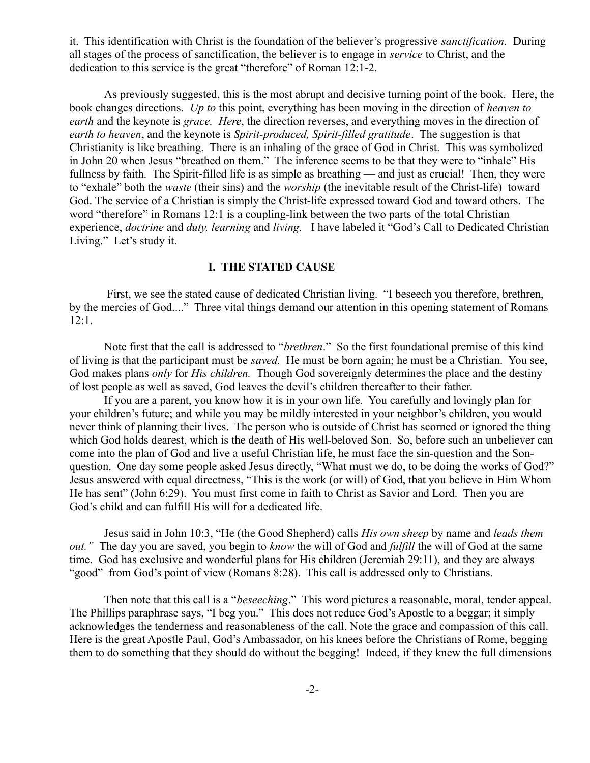it. This identification with Christ is the foundation of the believer's progressive *sanctification.* During all stages of the process of sanctification, the believer is to engage in *service* to Christ, and the dedication to this service is the great "therefore" of Roman 12:1-2.

As previously suggested, this is the most abrupt and decisive turning point of the book. Here, the book changes directions. *Up to* this point, everything has been moving in the direction of *heaven to earth* and the keynote is *grace. Here*, the direction reverses, and everything moves in the direction of *earth to heaven*, and the keynote is *Spirit-produced, Spirit-filled gratitude*. The suggestion is that Christianity is like breathing. There is an inhaling of the grace of God in Christ. This was symbolized in John 20 when Jesus "breathed on them." The inference seems to be that they were to "inhale" His fullness by faith. The Spirit-filled life is as simple as breathing — and just as crucial! Then, they were to "exhale" both the *waste* (their sins) and the *worship* (the inevitable result of the Christ-life) toward God. The service of a Christian is simply the Christ-life expressed toward God and toward others. The word "therefore" in Romans 12:1 is a coupling-link between the two parts of the total Christian experience, *doctrine* and *duty, learning* and *living.* I have labeled it "God's Call to Dedicated Christian Living." Let's study it.

## **I. THE STATED CAUSE**

 First, we see the stated cause of dedicated Christian living. "I beseech you therefore, brethren, by the mercies of God...." Three vital things demand our attention in this opening statement of Romans 12:1.

Note first that the call is addressed to "*brethren*." So the first foundational premise of this kind of living is that the participant must be *saved.* He must be born again; he must be a Christian. You see, God makes plans *only* for *His children.* Though God sovereignly determines the place and the destiny of lost people as well as saved, God leaves the devil's children thereafter to their father.

If you are a parent, you know how it is in your own life. You carefully and lovingly plan for your children's future; and while you may be mildly interested in your neighbor's children, you would never think of planning their lives. The person who is outside of Christ has scorned or ignored the thing which God holds dearest, which is the death of His well-beloved Son. So, before such an unbeliever can come into the plan of God and live a useful Christian life, he must face the sin-question and the Sonquestion. One day some people asked Jesus directly, "What must we do, to be doing the works of God?" Jesus answered with equal directness, "This is the work (or will) of God, that you believe in Him Whom He has sent" (John 6:29). You must first come in faith to Christ as Savior and Lord. Then you are God's child and can fulfill His will for a dedicated life.

Jesus said in John 10:3, "He (the Good Shepherd) calls *His own sheep* by name and *leads them out."* The day you are saved, you begin to *know* the will of God and *fulfill* the will of God at the same time. God has exclusive and wonderful plans for His children (Jeremiah 29:11), and they are always "good" from God's point of view (Romans 8:28). This call is addressed only to Christians.

Then note that this call is a "*beseeching*." This word pictures a reasonable, moral, tender appeal. The Phillips paraphrase says, "I beg you." This does not reduce God's Apostle to a beggar; it simply acknowledges the tenderness and reasonableness of the call. Note the grace and compassion of this call. Here is the great Apostle Paul, God's Ambassador, on his knees before the Christians of Rome, begging them to do something that they should do without the begging! Indeed, if they knew the full dimensions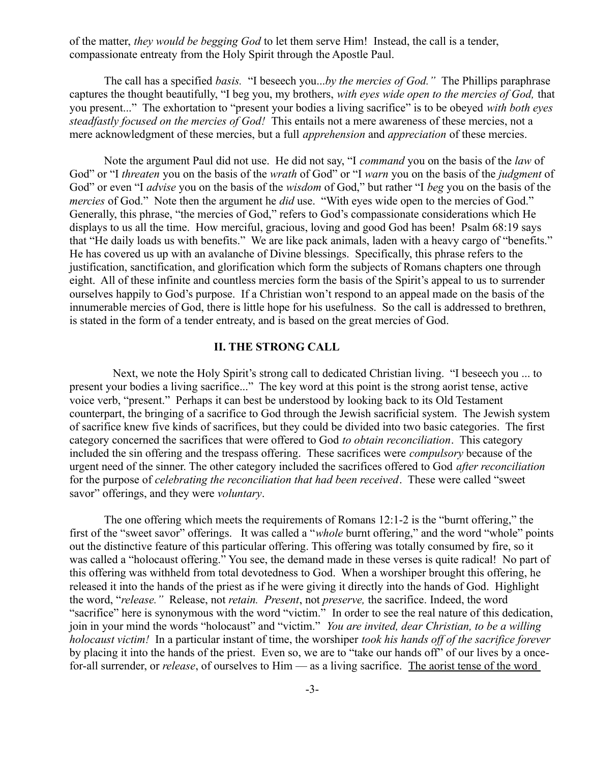of the matter, *they would be begging God* to let them serve Him! Instead, the call is a tender, compassionate entreaty from the Holy Spirit through the Apostle Paul.

The call has a specified *basis.* "I beseech you...*by the mercies of God."* The Phillips paraphrase captures the thought beautifully, "I beg you, my brothers, *with eyes wide open to the mercies of God,* that you present..." The exhortation to "present your bodies a living sacrifice" is to be obeyed *with both eyes steadfastly focused on the mercies of God!* This entails not a mere awareness of these mercies, not a mere acknowledgment of these mercies, but a full *apprehension* and *appreciation* of these mercies.

Note the argument Paul did not use. He did not say, "I *command* you on the basis of the *law* of God" or "I *threaten* you on the basis of the *wrath* of God" or "I *warn* you on the basis of the *judgment* of God" or even "I *advise* you on the basis of the *wisdom* of God," but rather "I *beg* you on the basis of the *mercies* of God." Note then the argument he *did* use. "With eyes wide open to the mercies of God." Generally, this phrase, "the mercies of God," refers to God's compassionate considerations which He displays to us all the time. How merciful, gracious, loving and good God has been! Psalm 68:19 says that "He daily loads us with benefits." We are like pack animals, laden with a heavy cargo of "benefits." He has covered us up with an avalanche of Divine blessings. Specifically, this phrase refers to the justification, sanctification, and glorification which form the subjects of Romans chapters one through eight. All of these infinite and countless mercies form the basis of the Spirit's appeal to us to surrender ourselves happily to God's purpose. If a Christian won't respond to an appeal made on the basis of the innumerable mercies of God, there is little hope for his usefulness. So the call is addressed to brethren, is stated in the form of a tender entreaty, and is based on the great mercies of God.

## **II. THE STRONG CALL**

 Next, we note the Holy Spirit's strong call to dedicated Christian living. "I beseech you ... to present your bodies a living sacrifice..." The key word at this point is the strong aorist tense, active voice verb, "present." Perhaps it can best be understood by looking back to its Old Testament counterpart, the bringing of a sacrifice to God through the Jewish sacrificial system. The Jewish system of sacrifice knew five kinds of sacrifices, but they could be divided into two basic categories. The first category concerned the sacrifices that were offered to God *to obtain reconciliation*. This category included the sin offering and the trespass offering. These sacrifices were *compulsory* because of the urgent need of the sinner. The other category included the sacrifices offered to God *after reconciliation* for the purpose of *celebrating the reconciliation that had been received*. These were called "sweet savor" offerings, and they were *voluntary*.

The one offering which meets the requirements of Romans 12:1-2 is the "burnt offering," the first of the "sweet savor" offerings. It was called a "*whole* burnt offering," and the word "whole" points out the distinctive feature of this particular offering. This offering was totally consumed by fire, so it was called a "holocaust offering." You see, the demand made in these verses is quite radical! No part of this offering was withheld from total devotedness to God. When a worshiper brought this offering, he released it into the hands of the priest as if he were giving it directly into the hands of God. Highlight the word, "*release."* Release, not *retain. Present*, not *preserve,* the sacrifice. Indeed, the word "sacrifice" here is synonymous with the word "victim." In order to see the real nature of this dedication, join in your mind the words "holocaust" and "victim." *You are invited, dear Christian, to be a willing holocaust victim!* In a particular instant of time, the worshiper *took his hands off of the sacrifice forever* by placing it into the hands of the priest. Even so, we are to "take our hands off" of our lives by a oncefor-all surrender, or *release*, of ourselves to Him — as a living sacrifice. The aorist tense of the word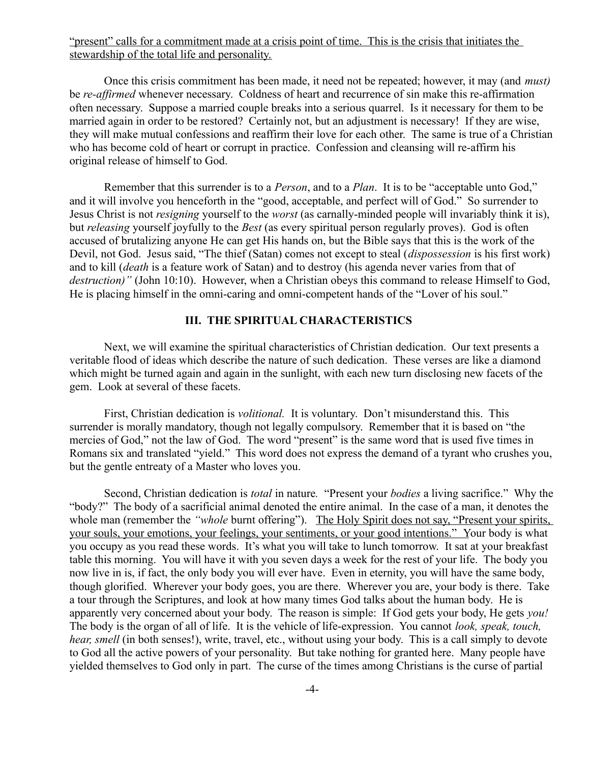"present" calls for a commitment made at a crisis point of time. This is the crisis that initiates the stewardship of the total life and personality.

Once this crisis commitment has been made, it need not be repeated; however, it may (and *must)* be *re-affirmed* whenever necessary. Coldness of heart and recurrence of sin make this re-affirmation often necessary. Suppose a married couple breaks into a serious quarrel. Is it necessary for them to be married again in order to be restored? Certainly not, but an adjustment is necessary! If they are wise, they will make mutual confessions and reaffirm their love for each other. The same is true of a Christian who has become cold of heart or corrupt in practice. Confession and cleansing will re-affirm his original release of himself to God.

Remember that this surrender is to a *Person*, and to a *Plan*. It is to be "acceptable unto God," and it will involve you henceforth in the "good, acceptable, and perfect will of God." So surrender to Jesus Christ is not *resigning* yourself to the *worst* (as carnally-minded people will invariably think it is), but *releasing* yourself joyfully to the *Best* (as every spiritual person regularly proves). God is often accused of brutalizing anyone He can get His hands on, but the Bible says that this is the work of the Devil, not God. Jesus said, "The thief (Satan) comes not except to steal (*dispossession* is his first work) and to kill (*death* is a feature work of Satan) and to destroy (his agenda never varies from that of *destruction)"* (John 10:10). However, when a Christian obeys this command to release Himself to God, He is placing himself in the omni-caring and omni-competent hands of the "Lover of his soul."

## **III. THE SPIRITUAL CHARACTERISTICS**

Next, we will examine the spiritual characteristics of Christian dedication. Our text presents a veritable flood of ideas which describe the nature of such dedication. These verses are like a diamond which might be turned again and again in the sunlight, with each new turn disclosing new facets of the gem. Look at several of these facets.

First, Christian dedication is *volitional.* It is voluntary. Don't misunderstand this. This surrender is morally mandatory, though not legally compulsory. Remember that it is based on "the mercies of God," not the law of God. The word "present" is the same word that is used five times in Romans six and translated "yield." This word does not express the demand of a tyrant who crushes you, but the gentle entreaty of a Master who loves you.

Second, Christian dedication is *total* in nature*.* "Present your *bodies* a living sacrifice." Why the "body?" The body of a sacrificial animal denoted the entire animal. In the case of a man, it denotes the whole man (remember the *"whole* burnt offering"). The Holy Spirit does not say, "Present your spirits, your souls, your emotions, your feelings, your sentiments, or your good intentions." Your body is what you occupy as you read these words. It's what you will take to lunch tomorrow. It sat at your breakfast table this morning. You will have it with you seven days a week for the rest of your life. The body you now live in is, if fact, the only body you will ever have. Even in eternity, you will have the same body, though glorified. Wherever your body goes, you are there. Wherever you are, your body is there. Take a tour through the Scriptures, and look at how many times God talks about the human body. He is apparently very concerned about your body. The reason is simple: If God gets your body, He gets *you!* The body is the organ of all of life. It is the vehicle of life-expression. You cannot *look, speak, touch, hear, smell* (in both senses!), write, travel, etc., without using your body. This is a call simply to devote to God all the active powers of your personality. But take nothing for granted here. Many people have yielded themselves to God only in part. The curse of the times among Christians is the curse of partial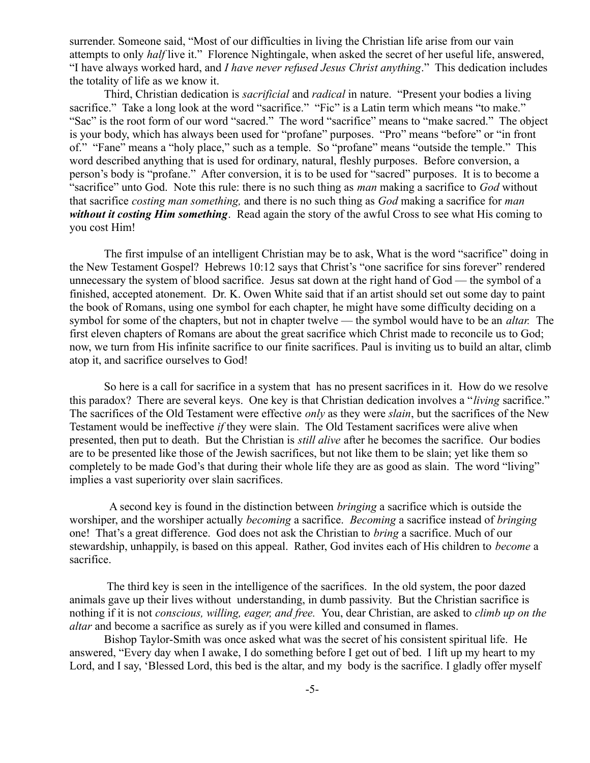surrender. Someone said, "Most of our difficulties in living the Christian life arise from our vain attempts to only *half* live it." Florence Nightingale, when asked the secret of her useful life, answered, "I have always worked hard, and *I have never refused Jesus Christ anything*." This dedication includes the totality of life as we know it.

Third, Christian dedication is *sacrificial* and *radical* in nature. "Present your bodies a living sacrifice." Take a long look at the word "sacrifice." "Fic" is a Latin term which means "to make." "Sac" is the root form of our word "sacred." The word "sacrifice" means to "make sacred." The object is your body, which has always been used for "profane" purposes. "Pro" means "before" or "in front of." "Fane" means a "holy place," such as a temple. So "profane" means "outside the temple." This word described anything that is used for ordinary, natural, fleshly purposes. Before conversion, a person's body is "profane." After conversion, it is to be used for "sacred" purposes. It is to become a "sacrifice" unto God. Note this rule: there is no such thing as *man* making a sacrifice to *God* without that sacrifice *costing man something,* and there is no such thing as *God* making a sacrifice for *man without it costing Him something*. Read again the story of the awful Cross to see what His coming to you cost Him!

The first impulse of an intelligent Christian may be to ask, What is the word "sacrifice" doing in the New Testament Gospel? Hebrews 10:12 says that Christ's "one sacrifice for sins forever" rendered unnecessary the system of blood sacrifice. Jesus sat down at the right hand of God — the symbol of a finished, accepted atonement. Dr. K. Owen White said that if an artist should set out some day to paint the book of Romans, using one symbol for each chapter, he might have some difficulty deciding on a symbol for some of the chapters, but not in chapter twelve — the symbol would have to be an *altar.* The first eleven chapters of Romans are about the great sacrifice which Christ made to reconcile us to God; now, we turn from His infinite sacrifice to our finite sacrifices. Paul is inviting us to build an altar, climb atop it, and sacrifice ourselves to God!

So here is a call for sacrifice in a system that has no present sacrifices in it. How do we resolve this paradox? There are several keys. One key is that Christian dedication involves a "*living* sacrifice." The sacrifices of the Old Testament were effective *only* as they were *slain*, but the sacrifices of the New Testament would be ineffective *if* they were slain. The Old Testament sacrifices were alive when presented, then put to death. But the Christian is *still alive* after he becomes the sacrifice. Our bodies are to be presented like those of the Jewish sacrifices, but not like them to be slain; yet like them so completely to be made God's that during their whole life they are as good as slain. The word "living" implies a vast superiority over slain sacrifices.

 A second key is found in the distinction between *bringing* a sacrifice which is outside the worshiper, and the worshiper actually *becoming* a sacrifice. *Becoming* a sacrifice instead of *bringing* one! That's a great difference. God does not ask the Christian to *bring* a sacrifice. Much of our stewardship, unhappily, is based on this appeal. Rather, God invites each of His children to *become* a sacrifice.

 The third key is seen in the intelligence of the sacrifices. In the old system, the poor dazed animals gave up their lives without understanding, in dumb passivity. But the Christian sacrifice is nothing if it is not *conscious, willing, eager, and free.* You, dear Christian, are asked to *climb up on the altar* and become a sacrifice as surely as if you were killed and consumed in flames.

Bishop Taylor-Smith was once asked what was the secret of his consistent spiritual life. He answered, "Every day when I awake, I do something before I get out of bed. I lift up my heart to my Lord, and I say, 'Blessed Lord, this bed is the altar, and my body is the sacrifice. I gladly offer myself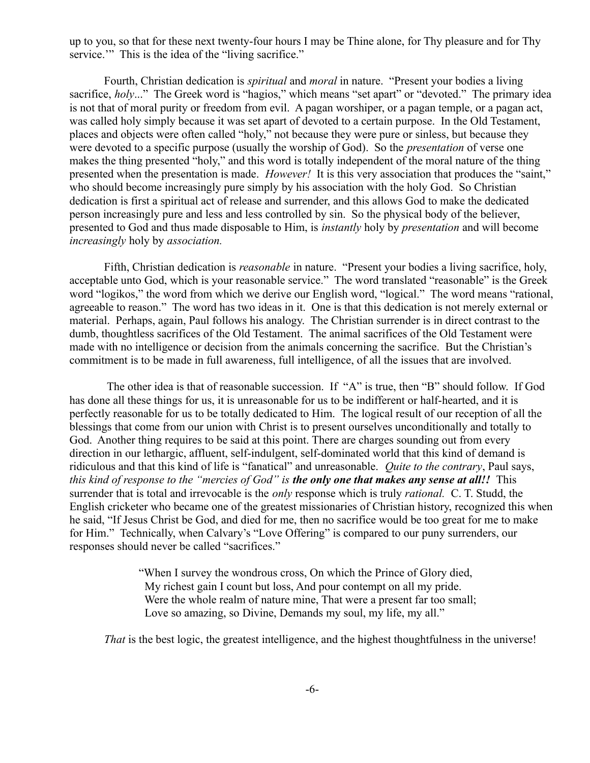up to you, so that for these next twenty-four hours I may be Thine alone, for Thy pleasure and for Thy service." This is the idea of the "living sacrifice."

Fourth, Christian dedication is *spiritual* and *moral* in nature. "Present your bodies a living sacrifice, *holy...*" The Greek word is "hagios," which means "set apart" or "devoted." The primary idea is not that of moral purity or freedom from evil. A pagan worshiper, or a pagan temple, or a pagan act, was called holy simply because it was set apart of devoted to a certain purpose. In the Old Testament, places and objects were often called "holy," not because they were pure or sinless, but because they were devoted to a specific purpose (usually the worship of God). So the *presentation* of verse one makes the thing presented "holy," and this word is totally independent of the moral nature of the thing presented when the presentation is made. *However!* It is this very association that produces the "saint," who should become increasingly pure simply by his association with the holy God. So Christian dedication is first a spiritual act of release and surrender, and this allows God to make the dedicated person increasingly pure and less and less controlled by sin. So the physical body of the believer, presented to God and thus made disposable to Him, is *instantly* holy by *presentation* and will become *increasingly* holy by *association.*

Fifth, Christian dedication is *reasonable* in nature. "Present your bodies a living sacrifice, holy, acceptable unto God, which is your reasonable service." The word translated "reasonable" is the Greek word "logikos," the word from which we derive our English word, "logical." The word means "rational, agreeable to reason." The word has two ideas in it. One is that this dedication is not merely external or material. Perhaps, again, Paul follows his analogy. The Christian surrender is in direct contrast to the dumb, thoughtless sacrifices of the Old Testament. The animal sacrifices of the Old Testament were made with no intelligence or decision from the animals concerning the sacrifice. But the Christian's commitment is to be made in full awareness, full intelligence, of all the issues that are involved.

 The other idea is that of reasonable succession. If "A" is true, then "B" should follow. If God has done all these things for us, it is unreasonable for us to be indifferent or half-hearted, and it is perfectly reasonable for us to be totally dedicated to Him. The logical result of our reception of all the blessings that come from our union with Christ is to present ourselves unconditionally and totally to God. Another thing requires to be said at this point. There are charges sounding out from every direction in our lethargic, affluent, self-indulgent, self-dominated world that this kind of demand is ridiculous and that this kind of life is "fanatical" and unreasonable. *Quite to the contrary*, Paul says, *this kind of response to the "mercies of God" is the only one that makes any sense at all!!* This surrender that is total and irrevocable is the *only* response which is truly *rational.* C. T. Studd, the English cricketer who became one of the greatest missionaries of Christian history, recognized this when he said, "If Jesus Christ be God, and died for me, then no sacrifice would be too great for me to make for Him." Technically, when Calvary's "Love Offering" is compared to our puny surrenders, our responses should never be called "sacrifices."

> "When I survey the wondrous cross, On which the Prince of Glory died, My richest gain I count but loss, And pour contempt on all my pride. Were the whole realm of nature mine, That were a present far too small; Love so amazing, so Divine, Demands my soul, my life, my all."

*That* is the best logic, the greatest intelligence, and the highest thoughtfulness in the universe!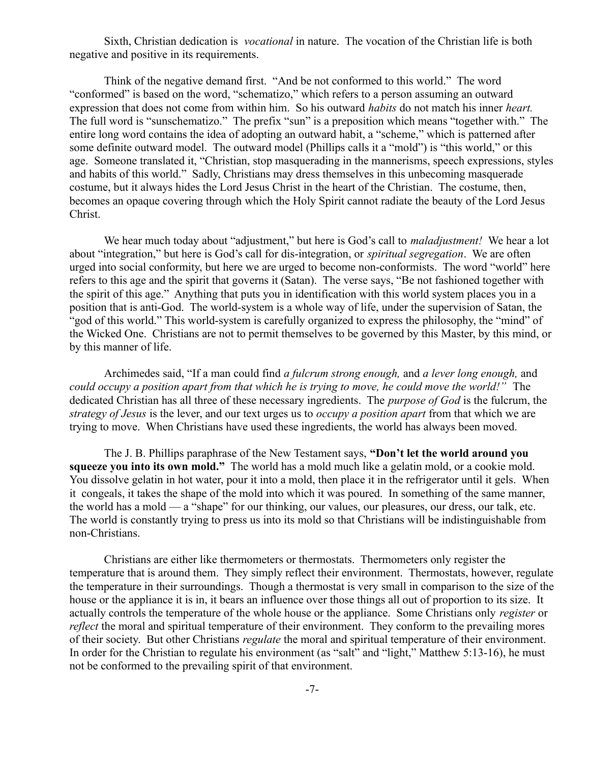Sixth, Christian dedication is *vocational* in nature. The vocation of the Christian life is both negative and positive in its requirements.

Think of the negative demand first. "And be not conformed to this world." The word "conformed" is based on the word, "schematizo," which refers to a person assuming an outward expression that does not come from within him. So his outward *habits* do not match his inner *heart.* The full word is "sunschematizo." The prefix "sun" is a preposition which means "together with." The entire long word contains the idea of adopting an outward habit, a "scheme," which is patterned after some definite outward model. The outward model (Phillips calls it a "mold") is "this world," or this age. Someone translated it, "Christian, stop masquerading in the mannerisms, speech expressions, styles and habits of this world." Sadly, Christians may dress themselves in this unbecoming masquerade costume, but it always hides the Lord Jesus Christ in the heart of the Christian. The costume, then, becomes an opaque covering through which the Holy Spirit cannot radiate the beauty of the Lord Jesus Christ.

We hear much today about "adjustment," but here is God's call to *maladjustment!* We hear a lot about "integration," but here is God's call for dis-integration, or *spiritual segregation*. We are often urged into social conformity, but here we are urged to become non-conformists. The word "world" here refers to this age and the spirit that governs it (Satan). The verse says, "Be not fashioned together with the spirit of this age." Anything that puts you in identification with this world system places you in a position that is anti-God. The world-system is a whole way of life, under the supervision of Satan, the "god of this world." This world-system is carefully organized to express the philosophy, the "mind" of the Wicked One. Christians are not to permit themselves to be governed by this Master, by this mind, or by this manner of life.

Archimedes said, "If a man could find *a fulcrum strong enough,* and *a lever long enough,* and *could occupy a position apart from that which he is trying to move, he could move the world!"* The dedicated Christian has all three of these necessary ingredients. The *purpose of God* is the fulcrum, the *strategy of Jesus* is the lever, and our text urges us to *occupy a position apart* from that which we are trying to move. When Christians have used these ingredients, the world has always been moved.

The J. B. Phillips paraphrase of the New Testament says, **"Don't let the world around you squeeze you into its own mold."** The world has a mold much like a gelatin mold, or a cookie mold. You dissolve gelatin in hot water, pour it into a mold, then place it in the refrigerator until it gels. When it congeals, it takes the shape of the mold into which it was poured. In something of the same manner, the world has a mold — a "shape" for our thinking, our values, our pleasures, our dress, our talk, etc. The world is constantly trying to press us into its mold so that Christians will be indistinguishable from non-Christians.

Christians are either like thermometers or thermostats. Thermometers only register the temperature that is around them. They simply reflect their environment. Thermostats, however, regulate the temperature in their surroundings. Though a thermostat is very small in comparison to the size of the house or the appliance it is in, it bears an influence over those things all out of proportion to its size. It actually controls the temperature of the whole house or the appliance. Some Christians only *register* or *reflect* the moral and spiritual temperature of their environment. They conform to the prevailing mores of their society. But other Christians *regulate* the moral and spiritual temperature of their environment. In order for the Christian to regulate his environment (as "salt" and "light," Matthew 5:13-16), he must not be conformed to the prevailing spirit of that environment.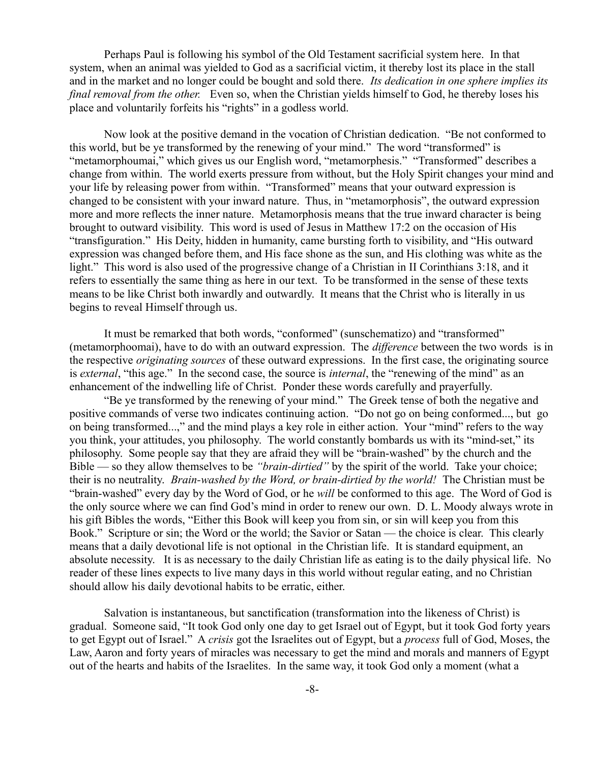Perhaps Paul is following his symbol of the Old Testament sacrificial system here. In that system, when an animal was yielded to God as a sacrificial victim, it thereby lost its place in the stall and in the market and no longer could be bought and sold there. *Its dedication in one sphere implies its final removal from the other.* Even so, when the Christian yields himself to God, he thereby loses his place and voluntarily forfeits his "rights" in a godless world.

Now look at the positive demand in the vocation of Christian dedication. "Be not conformed to this world, but be ye transformed by the renewing of your mind." The word "transformed" is "metamorphoumai," which gives us our English word, "metamorphesis." "Transformed" describes a change from within. The world exerts pressure from without, but the Holy Spirit changes your mind and your life by releasing power from within. "Transformed" means that your outward expression is changed to be consistent with your inward nature. Thus, in "metamorphosis", the outward expression more and more reflects the inner nature. Metamorphosis means that the true inward character is being brought to outward visibility. This word is used of Jesus in Matthew 17:2 on the occasion of His "transfiguration." His Deity, hidden in humanity, came bursting forth to visibility, and "His outward expression was changed before them, and His face shone as the sun, and His clothing was white as the light." This word is also used of the progressive change of a Christian in II Corinthians 3:18, and it refers to essentially the same thing as here in our text. To be transformed in the sense of these texts means to be like Christ both inwardly and outwardly. It means that the Christ who is literally in us begins to reveal Himself through us.

It must be remarked that both words, "conformed" (sunschematizo) and "transformed" (metamorphoomai), have to do with an outward expression. The *difference* between the two words is in the respective *originating sources* of these outward expressions. In the first case, the originating source is *external*, "this age." In the second case, the source is *internal*, the "renewing of the mind" as an enhancement of the indwelling life of Christ. Ponder these words carefully and prayerfully.

"Be ye transformed by the renewing of your mind." The Greek tense of both the negative and positive commands of verse two indicates continuing action. "Do not go on being conformed..., but go on being transformed...," and the mind plays a key role in either action. Your "mind" refers to the way you think, your attitudes, you philosophy. The world constantly bombards us with its "mind-set," its philosophy. Some people say that they are afraid they will be "brain-washed" by the church and the Bible — so they allow themselves to be *"brain-dirtied"* by the spirit of the world. Take your choice; their is no neutrality. *Brain-washed by the Word, or brain-dirtied by the world!* The Christian must be "brain-washed" every day by the Word of God, or he *will* be conformed to this age. The Word of God is the only source where we can find God's mind in order to renew our own. D. L. Moody always wrote in his gift Bibles the words, "Either this Book will keep you from sin, or sin will keep you from this Book." Scripture or sin; the Word or the world; the Savior or Satan — the choice is clear. This clearly means that a daily devotional life is not optional in the Christian life. It is standard equipment, an absolute necessity. It is as necessary to the daily Christian life as eating is to the daily physical life. No reader of these lines expects to live many days in this world without regular eating, and no Christian should allow his daily devotional habits to be erratic, either.

Salvation is instantaneous, but sanctification (transformation into the likeness of Christ) is gradual. Someone said, "It took God only one day to get Israel out of Egypt, but it took God forty years to get Egypt out of Israel." A *crisis* got the Israelites out of Egypt, but a *process* full of God, Moses, the Law, Aaron and forty years of miracles was necessary to get the mind and morals and manners of Egypt out of the hearts and habits of the Israelites. In the same way, it took God only a moment (what a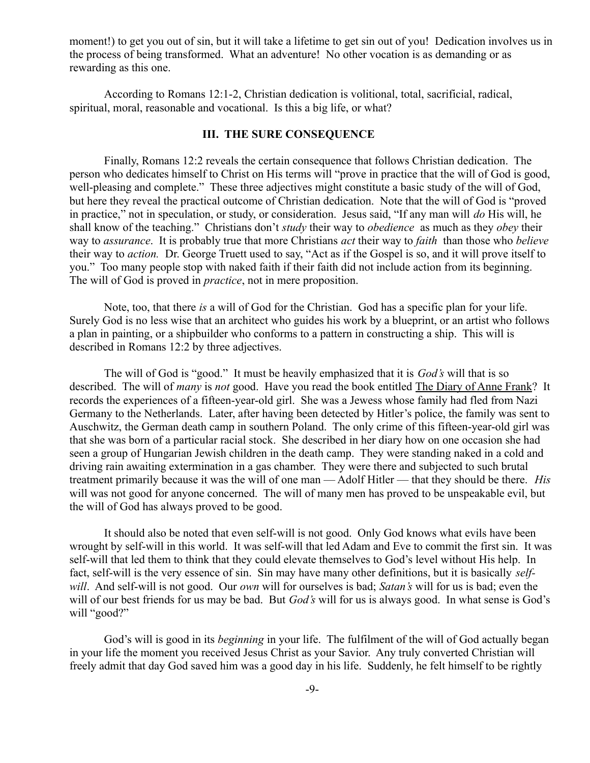moment!) to get you out of sin, but it will take a lifetime to get sin out of you! Dedication involves us in the process of being transformed. What an adventure! No other vocation is as demanding or as rewarding as this one.

According to Romans 12:1-2, Christian dedication is volitional, total, sacrificial, radical, spiritual, moral, reasonable and vocational. Is this a big life, or what?

## **III. THE SURE CONSEQUENCE**

Finally, Romans 12:2 reveals the certain consequence that follows Christian dedication. The person who dedicates himself to Christ on His terms will "prove in practice that the will of God is good, well-pleasing and complete." These three adjectives might constitute a basic study of the will of God, but here they reveal the practical outcome of Christian dedication. Note that the will of God is "proved in practice," not in speculation, or study, or consideration. Jesus said, "If any man will *do* His will, he shall know of the teaching." Christians don't *study* their way to *obedience* as much as they *obey* their way to *assurance*. It is probably true that more Christians *act* their way to *faith* than those who *believe* their way to *action.* Dr. George Truett used to say, "Act as if the Gospel is so, and it will prove itself to you." Too many people stop with naked faith if their faith did not include action from its beginning. The will of God is proved in *practice*, not in mere proposition.

Note, too, that there *is* a will of God for the Christian. God has a specific plan for your life. Surely God is no less wise that an architect who guides his work by a blueprint, or an artist who follows a plan in painting, or a shipbuilder who conforms to a pattern in constructing a ship. This will is described in Romans 12:2 by three adjectives.

The will of God is "good." It must be heavily emphasized that it is *God's* will that is so described. The will of *many* is *not* good. Have you read the book entitled The Diary of Anne Frank? It records the experiences of a fifteen-year-old girl. She was a Jewess whose family had fled from Nazi Germany to the Netherlands. Later, after having been detected by Hitler's police, the family was sent to Auschwitz, the German death camp in southern Poland. The only crime of this fifteen-year-old girl was that she was born of a particular racial stock. She described in her diary how on one occasion she had seen a group of Hungarian Jewish children in the death camp. They were standing naked in a cold and driving rain awaiting extermination in a gas chamber. They were there and subjected to such brutal treatment primarily because it was the will of one man — Adolf Hitler — that they should be there. *His* will was not good for anyone concerned. The will of many men has proved to be unspeakable evil, but the will of God has always proved to be good.

It should also be noted that even self-will is not good. Only God knows what evils have been wrought by self-will in this world. It was self-will that led Adam and Eve to commit the first sin. It was self-will that led them to think that they could elevate themselves to God's level without His help. In fact, self-will is the very essence of sin. Sin may have many other definitions, but it is basically *selfwill*. And self-will is not good. Our *own* will for ourselves is bad; *Satan's* will for us is bad; even the will of our best friends for us may be bad. But *God's* will for us is always good. In what sense is God's will "good?"

God's will is good in its *beginning* in your life. The fulfilment of the will of God actually began in your life the moment you received Jesus Christ as your Savior. Any truly converted Christian will freely admit that day God saved him was a good day in his life. Suddenly, he felt himself to be rightly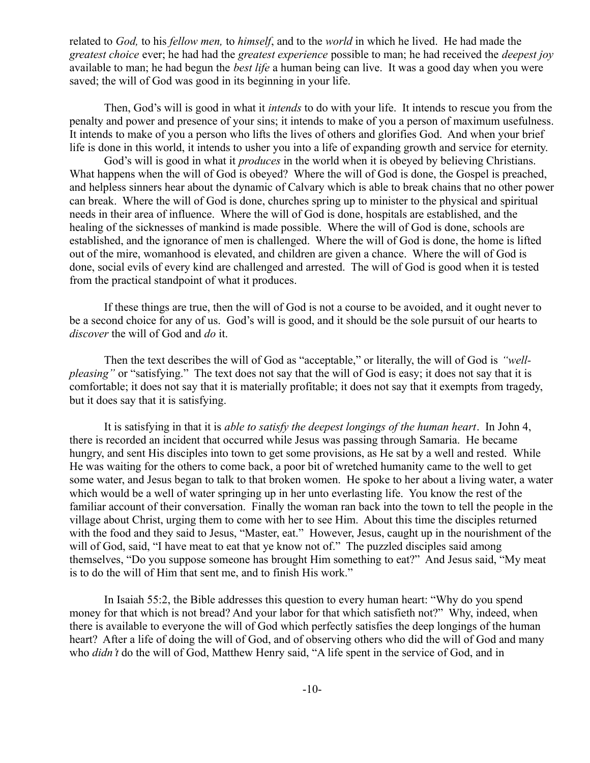related to *God,* to his *fellow men,* to *himself*, and to the *world* in which he lived. He had made the *greatest choice* ever; he had had the *greatest experience* possible to man; he had received the *deepest joy* available to man; he had begun the *best life* a human being can live. It was a good day when you were saved; the will of God was good in its beginning in your life.

Then, God's will is good in what it *intends* to do with your life. It intends to rescue you from the penalty and power and presence of your sins; it intends to make of you a person of maximum usefulness. It intends to make of you a person who lifts the lives of others and glorifies God. And when your brief life is done in this world, it intends to usher you into a life of expanding growth and service for eternity.

God's will is good in what it *produces* in the world when it is obeyed by believing Christians. What happens when the will of God is obeyed? Where the will of God is done, the Gospel is preached, and helpless sinners hear about the dynamic of Calvary which is able to break chains that no other power can break. Where the will of God is done, churches spring up to minister to the physical and spiritual needs in their area of influence. Where the will of God is done, hospitals are established, and the healing of the sicknesses of mankind is made possible. Where the will of God is done, schools are established, and the ignorance of men is challenged. Where the will of God is done, the home is lifted out of the mire, womanhood is elevated, and children are given a chance. Where the will of God is done, social evils of every kind are challenged and arrested. The will of God is good when it is tested from the practical standpoint of what it produces.

If these things are true, then the will of God is not a course to be avoided, and it ought never to be a second choice for any of us. God's will is good, and it should be the sole pursuit of our hearts to *discover* the will of God and *do* it.

Then the text describes the will of God as "acceptable," or literally, the will of God is *"wellpleasing*" or "satisfying." The text does not say that the will of God is easy; it does not say that it is comfortable; it does not say that it is materially profitable; it does not say that it exempts from tragedy, but it does say that it is satisfying.

It is satisfying in that it is *able to satisfy the deepest longings of the human heart*. In John 4, there is recorded an incident that occurred while Jesus was passing through Samaria. He became hungry, and sent His disciples into town to get some provisions, as He sat by a well and rested. While He was waiting for the others to come back, a poor bit of wretched humanity came to the well to get some water, and Jesus began to talk to that broken women. He spoke to her about a living water, a water which would be a well of water springing up in her unto everlasting life. You know the rest of the familiar account of their conversation. Finally the woman ran back into the town to tell the people in the village about Christ, urging them to come with her to see Him. About this time the disciples returned with the food and they said to Jesus, "Master, eat." However, Jesus, caught up in the nourishment of the will of God, said, "I have meat to eat that ye know not of." The puzzled disciples said among themselves, "Do you suppose someone has brought Him something to eat?" And Jesus said, "My meat is to do the will of Him that sent me, and to finish His work."

In Isaiah 55:2, the Bible addresses this question to every human heart: "Why do you spend money for that which is not bread? And your labor for that which satisfieth not?" Why, indeed, when there is available to everyone the will of God which perfectly satisfies the deep longings of the human heart? After a life of doing the will of God, and of observing others who did the will of God and many who *didn't* do the will of God, Matthew Henry said, "A life spent in the service of God, and in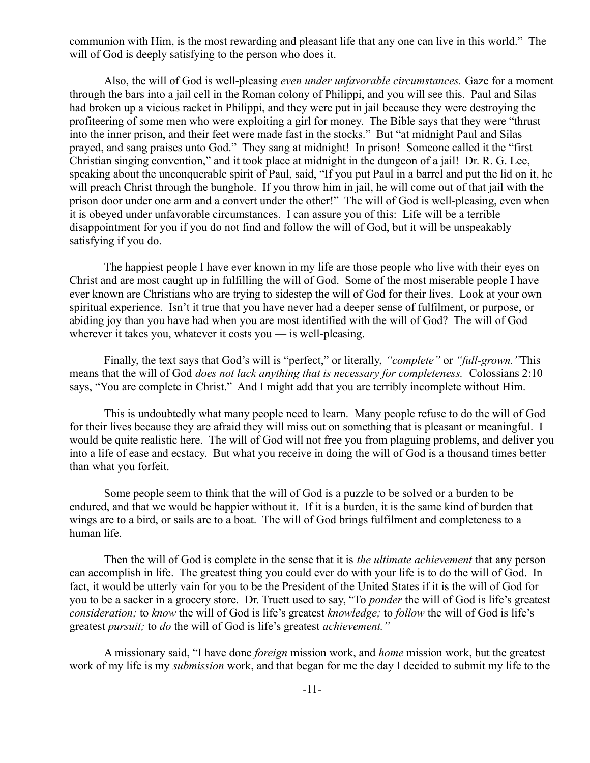communion with Him, is the most rewarding and pleasant life that any one can live in this world." The will of God is deeply satisfying to the person who does it.

Also, the will of God is well-pleasing *even under unfavorable circumstances.* Gaze for a moment through the bars into a jail cell in the Roman colony of Philippi, and you will see this. Paul and Silas had broken up a vicious racket in Philippi, and they were put in jail because they were destroying the profiteering of some men who were exploiting a girl for money. The Bible says that they were "thrust into the inner prison, and their feet were made fast in the stocks." But "at midnight Paul and Silas prayed, and sang praises unto God." They sang at midnight! In prison! Someone called it the "first Christian singing convention," and it took place at midnight in the dungeon of a jail! Dr. R. G. Lee, speaking about the unconquerable spirit of Paul, said, "If you put Paul in a barrel and put the lid on it, he will preach Christ through the bunghole. If you throw him in jail, he will come out of that jail with the prison door under one arm and a convert under the other!" The will of God is well-pleasing, even when it is obeyed under unfavorable circumstances. I can assure you of this: Life will be a terrible disappointment for you if you do not find and follow the will of God, but it will be unspeakably satisfying if you do.

The happiest people I have ever known in my life are those people who live with their eyes on Christ and are most caught up in fulfilling the will of God. Some of the most miserable people I have ever known are Christians who are trying to sidestep the will of God for their lives. Look at your own spiritual experience. Isn't it true that you have never had a deeper sense of fulfilment, or purpose, or abiding joy than you have had when you are most identified with the will of God? The will of God wherever it takes you, whatever it costs you — is well-pleasing.

Finally, the text says that God's will is "perfect," or literally, *"complete"* or *"full-grown."*This means that the will of God *does not lack anything that is necessary for completeness.* Colossians 2:10 says, "You are complete in Christ." And I might add that you are terribly incomplete without Him.

This is undoubtedly what many people need to learn. Many people refuse to do the will of God for their lives because they are afraid they will miss out on something that is pleasant or meaningful. I would be quite realistic here. The will of God will not free you from plaguing problems, and deliver you into a life of ease and ecstacy. But what you receive in doing the will of God is a thousand times better than what you forfeit.

Some people seem to think that the will of God is a puzzle to be solved or a burden to be endured, and that we would be happier without it. If it is a burden, it is the same kind of burden that wings are to a bird, or sails are to a boat. The will of God brings fulfilment and completeness to a human life.

Then the will of God is complete in the sense that it is *the ultimate achievement* that any person can accomplish in life. The greatest thing you could ever do with your life is to do the will of God. In fact, it would be utterly vain for you to be the President of the United States if it is the will of God for you to be a sacker in a grocery store. Dr. Truett used to say, "To *ponder* the will of God is life's greatest *consideration;* to *know* the will of God is life's greatest *knowledge;* to *follow* the will of God is life's greatest *pursuit;* to *do* the will of God is life's greatest *achievement."*

A missionary said, "I have done *foreign* mission work, and *home* mission work, but the greatest work of my life is my *submission* work, and that began for me the day I decided to submit my life to the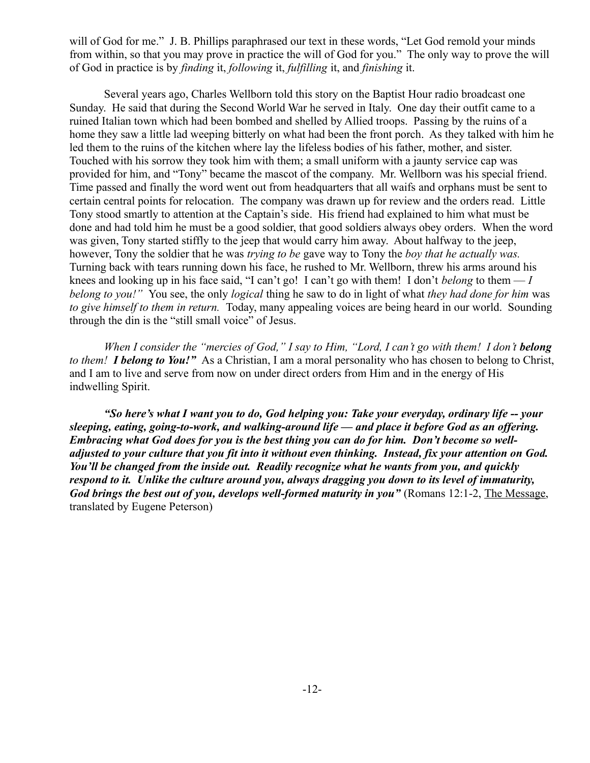will of God for me." J. B. Phillips paraphrased our text in these words, "Let God remold your minds from within, so that you may prove in practice the will of God for you." The only way to prove the will of God in practice is by *finding* it, *following* it, *fulfilling* it, and *finishing* it.

Several years ago, Charles Wellborn told this story on the Baptist Hour radio broadcast one Sunday. He said that during the Second World War he served in Italy. One day their outfit came to a ruined Italian town which had been bombed and shelled by Allied troops. Passing by the ruins of a home they saw a little lad weeping bitterly on what had been the front porch. As they talked with him he led them to the ruins of the kitchen where lay the lifeless bodies of his father, mother, and sister. Touched with his sorrow they took him with them; a small uniform with a jaunty service cap was provided for him, and "Tony" became the mascot of the company. Mr. Wellborn was his special friend. Time passed and finally the word went out from headquarters that all waifs and orphans must be sent to certain central points for relocation. The company was drawn up for review and the orders read. Little Tony stood smartly to attention at the Captain's side. His friend had explained to him what must be done and had told him he must be a good soldier, that good soldiers always obey orders. When the word was given, Tony started stiffly to the jeep that would carry him away. About halfway to the jeep, however, Tony the soldier that he was *trying to be* gave way to Tony the *boy that he actually was.* Turning back with tears running down his face, he rushed to Mr. Wellborn, threw his arms around his knees and looking up in his face said, "I can't go! I can't go with them! I don't *belong* to them  $-I$ *belong to you!"* You see, the only *logical* thing he saw to do in light of what *they had done for him* was *to give himself to them in return.* Today, many appealing voices are being heard in our world. Sounding through the din is the "still small voice" of Jesus.

*When I consider the "mercies of God," I say to Him, "Lord, I can't go with them! I don't belong to them! I belong to You!"* As a Christian, I am a moral personality who has chosen to belong to Christ, and I am to live and serve from now on under direct orders from Him and in the energy of His indwelling Spirit.

*"So here's what I want you to do, God helping you: Take your everyday, ordinary life -- your sleeping, eating, going-to-work, and walking-around life — and place it before God as an offering. Embracing what God does for you is the best thing you can do for him. Don't become so welladjusted to your culture that you fit into it without even thinking. Instead, fix your attention on God. You'll be changed from the inside out. Readily recognize what he wants from you, and quickly respond to it. Unlike the culture around you, always dragging you down to its level of immaturity, God brings the best out of you, develops well-formed maturity in you"* (Romans 12:1-2, The Message, translated by Eugene Peterson)